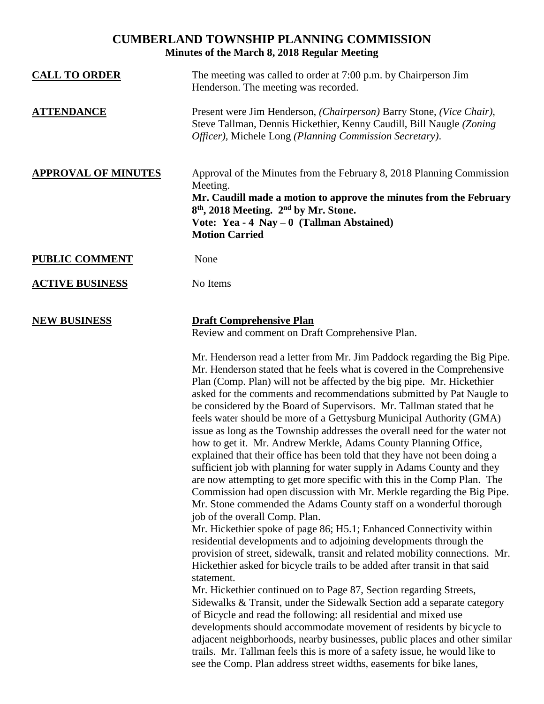## **CUMBERLAND TOWNSHIP PLANNING COMMISSION Minutes of the March 8, 2018 Regular Meeting**

| <b>CALL TO ORDER</b>       | The meeting was called to order at 7:00 p.m. by Chairperson Jim<br>Henderson. The meeting was recorded.                                                                                                                                                                                                                                                                                                                                                                                                                                                                                                                                                                          |
|----------------------------|----------------------------------------------------------------------------------------------------------------------------------------------------------------------------------------------------------------------------------------------------------------------------------------------------------------------------------------------------------------------------------------------------------------------------------------------------------------------------------------------------------------------------------------------------------------------------------------------------------------------------------------------------------------------------------|
| <b>ATTENDANCE</b>          | Present were Jim Henderson, (Chairperson) Barry Stone, (Vice Chair),<br>Steve Tallman, Dennis Hickethier, Kenny Caudill, Bill Naugle (Zoning<br>Officer), Michele Long (Planning Commission Secretary).                                                                                                                                                                                                                                                                                                                                                                                                                                                                          |
| <b>APPROVAL OF MINUTES</b> | Approval of the Minutes from the February 8, 2018 Planning Commission<br>Meeting.<br>Mr. Caudill made a motion to approve the minutes from the February<br>8 <sup>th</sup> , 2018 Meeting. 2 <sup>nd</sup> by Mr. Stone.<br>Vote: Yea - 4 Nay $-0$ (Tallman Abstained)<br><b>Motion Carried</b>                                                                                                                                                                                                                                                                                                                                                                                  |
| <b>PUBLIC COMMENT</b>      | None                                                                                                                                                                                                                                                                                                                                                                                                                                                                                                                                                                                                                                                                             |
| <b>ACTIVE BUSINESS</b>     | No Items                                                                                                                                                                                                                                                                                                                                                                                                                                                                                                                                                                                                                                                                         |
| <b>NEW BUSINESS</b>        | <b>Draft Comprehensive Plan</b><br>Review and comment on Draft Comprehensive Plan.<br>Mr. Henderson read a letter from Mr. Jim Paddock regarding the Big Pipe.<br>Mr. Henderson stated that he feels what is covered in the Comprehensive<br>Plan (Comp. Plan) will not be affected by the big pipe. Mr. Hickethier<br>asked for the comments and recommendations submitted by Pat Naugle to                                                                                                                                                                                                                                                                                     |
|                            | be considered by the Board of Supervisors. Mr. Tallman stated that he<br>feels water should be more of a Gettysburg Municipal Authority (GMA)<br>issue as long as the Township addresses the overall need for the water not<br>how to get it. Mr. Andrew Merkle, Adams County Planning Office,<br>explained that their office has been told that they have not been doing a<br>sufficient job with planning for water supply in Adams County and they<br>are now attempting to get more specific with this in the Comp Plan. The<br>Commission had open discussion with Mr. Merkle regarding the Big Pipe.<br>Mr. Stone commended the Adams County staff on a wonderful thorough |
|                            | job of the overall Comp. Plan.<br>Mr. Hickethier spoke of page 86; H5.1; Enhanced Connectivity within<br>residential developments and to adjoining developments through the<br>provision of street, sidewalk, transit and related mobility connections. Mr.<br>Hickethier asked for bicycle trails to be added after transit in that said<br>statement.                                                                                                                                                                                                                                                                                                                          |
|                            | Mr. Hickethier continued on to Page 87, Section regarding Streets,<br>Sidewalks & Transit, under the Sidewalk Section add a separate category<br>of Bicycle and read the following: all residential and mixed use<br>developments should accommodate movement of residents by bicycle to<br>adjacent neighborhoods, nearby businesses, public places and other similar<br>trails. Mr. Tallman feels this is more of a safety issue, he would like to<br>see the Comp. Plan address street widths, easements for bike lanes,                                                                                                                                                      |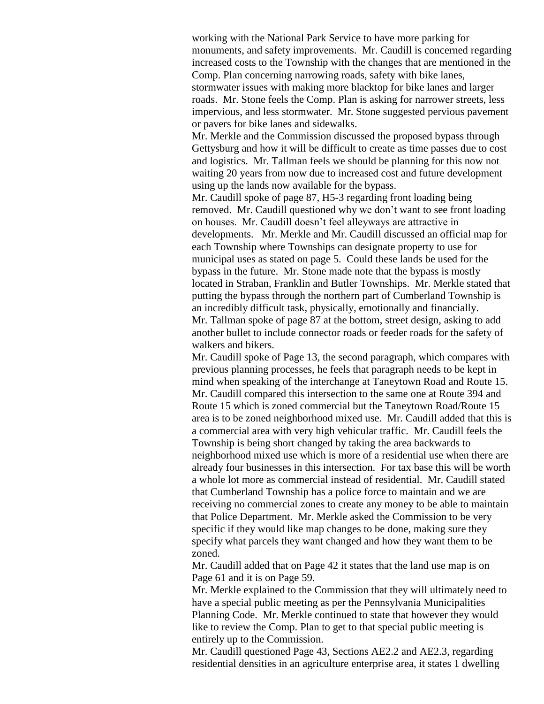working with the National Park Service to have more parking for monuments, and safety improvements. Mr. Caudill is concerned regarding increased costs to the Township with the changes that are mentioned in the Comp. Plan concerning narrowing roads, safety with bike lanes, stormwater issues with making more blacktop for bike lanes and larger roads. Mr. Stone feels the Comp. Plan is asking for narrower streets, less impervious, and less stormwater. Mr. Stone suggested pervious pavement

Mr. Merkle and the Commission discussed the proposed bypass through Gettysburg and how it will be difficult to create as time passes due to cost and logistics. Mr. Tallman feels we should be planning for this now not waiting 20 years from now due to increased cost and future development using up the lands now available for the bypass.

or pavers for bike lanes and sidewalks.

Mr. Caudill spoke of page 87, H5-3 regarding front loading being removed. Mr. Caudill questioned why we don't want to see front loading on houses. Mr. Caudill doesn't feel alleyways are attractive in developments. Mr. Merkle and Mr. Caudill discussed an official map for each Township where Townships can designate property to use for municipal uses as stated on page 5. Could these lands be used for the bypass in the future. Mr. Stone made note that the bypass is mostly located in Straban, Franklin and Butler Townships. Mr. Merkle stated that putting the bypass through the northern part of Cumberland Township is an incredibly difficult task, physically, emotionally and financially. Mr. Tallman spoke of page 87 at the bottom, street design, asking to add another bullet to include connector roads or feeder roads for the safety of walkers and bikers.

Mr. Caudill spoke of Page 13, the second paragraph, which compares with previous planning processes, he feels that paragraph needs to be kept in mind when speaking of the interchange at Taneytown Road and Route 15. Mr. Caudill compared this intersection to the same one at Route 394 and Route 15 which is zoned commercial but the Taneytown Road/Route 15 area is to be zoned neighborhood mixed use. Mr. Caudill added that this is a commercial area with very high vehicular traffic. Mr. Caudill feels the Township is being short changed by taking the area backwards to neighborhood mixed use which is more of a residential use when there are already four businesses in this intersection. For tax base this will be worth a whole lot more as commercial instead of residential. Mr. Caudill stated that Cumberland Township has a police force to maintain and we are receiving no commercial zones to create any money to be able to maintain that Police Department. Mr. Merkle asked the Commission to be very specific if they would like map changes to be done, making sure they specify what parcels they want changed and how they want them to be zoned.

Mr. Caudill added that on Page 42 it states that the land use map is on Page 61 and it is on Page 59.

Mr. Merkle explained to the Commission that they will ultimately need to have a special public meeting as per the Pennsylvania Municipalities Planning Code. Mr. Merkle continued to state that however they would like to review the Comp. Plan to get to that special public meeting is entirely up to the Commission.

Mr. Caudill questioned Page 43, Sections AE2.2 and AE2.3, regarding residential densities in an agriculture enterprise area, it states 1 dwelling